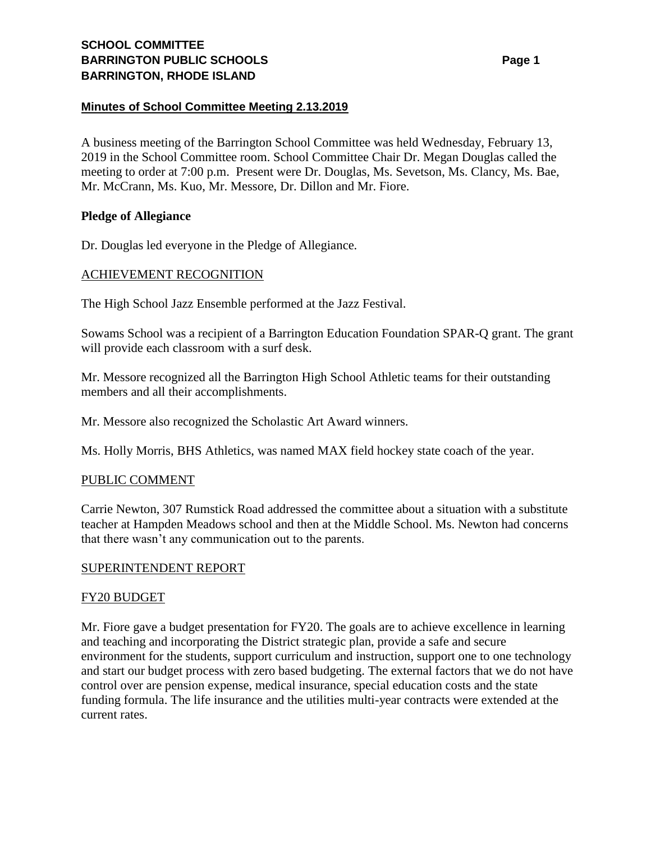## **Minutes of School Committee Meeting 2.13.2019**

A business meeting of the Barrington School Committee was held Wednesday, February 13, 2019 in the School Committee room. School Committee Chair Dr. Megan Douglas called the meeting to order at 7:00 p.m. Present were Dr. Douglas, Ms. Sevetson, Ms. Clancy, Ms. Bae, Mr. McCrann, Ms. Kuo, Mr. Messore, Dr. Dillon and Mr. Fiore.

### **Pledge of Allegiance**

Dr. Douglas led everyone in the Pledge of Allegiance.

## ACHIEVEMENT RECOGNITION

The High School Jazz Ensemble performed at the Jazz Festival.

Sowams School was a recipient of a Barrington Education Foundation SPAR-Q grant. The grant will provide each classroom with a surf desk.

Mr. Messore recognized all the Barrington High School Athletic teams for their outstanding members and all their accomplishments.

Mr. Messore also recognized the Scholastic Art Award winners.

Ms. Holly Morris, BHS Athletics, was named MAX field hockey state coach of the year.

### PUBLIC COMMENT

Carrie Newton, 307 Rumstick Road addressed the committee about a situation with a substitute teacher at Hampden Meadows school and then at the Middle School. Ms. Newton had concerns that there wasn't any communication out to the parents.

### SUPERINTENDENT REPORT

### FY20 BUDGET

Mr. Fiore gave a budget presentation for FY20. The goals are to achieve excellence in learning and teaching and incorporating the District strategic plan, provide a safe and secure environment for the students, support curriculum and instruction, support one to one technology and start our budget process with zero based budgeting. The external factors that we do not have control over are pension expense, medical insurance, special education costs and the state funding formula. The life insurance and the utilities multi-year contracts were extended at the current rates.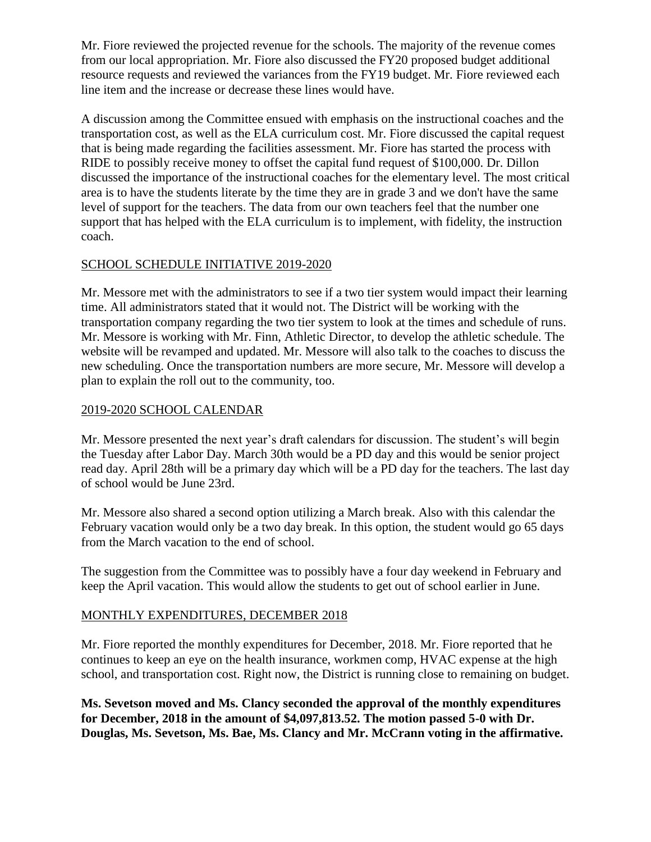Mr. Fiore reviewed the projected revenue for the schools. The majority of the revenue comes from our local appropriation. Mr. Fiore also discussed the FY20 proposed budget additional resource requests and reviewed the variances from the FY19 budget. Mr. Fiore reviewed each line item and the increase or decrease these lines would have.

A discussion among the Committee ensued with emphasis on the instructional coaches and the transportation cost, as well as the ELA curriculum cost. Mr. Fiore discussed the capital request that is being made regarding the facilities assessment. Mr. Fiore has started the process with RIDE to possibly receive money to offset the capital fund request of \$100,000. Dr. Dillon discussed the importance of the instructional coaches for the elementary level. The most critical area is to have the students literate by the time they are in grade 3 and we don't have the same level of support for the teachers. The data from our own teachers feel that the number one support that has helped with the ELA curriculum is to implement, with fidelity, the instruction coach.

# SCHOOL SCHEDULE INITIATIVE 2019-2020

Mr. Messore met with the administrators to see if a two tier system would impact their learning time. All administrators stated that it would not. The District will be working with the transportation company regarding the two tier system to look at the times and schedule of runs. Mr. Messore is working with Mr. Finn, Athletic Director, to develop the athletic schedule. The website will be revamped and updated. Mr. Messore will also talk to the coaches to discuss the new scheduling. Once the transportation numbers are more secure, Mr. Messore will develop a plan to explain the roll out to the community, too.

# 2019-2020 SCHOOL CALENDAR

Mr. Messore presented the next year's draft calendars for discussion. The student's will begin the Tuesday after Labor Day. March 30th would be a PD day and this would be senior project read day. April 28th will be a primary day which will be a PD day for the teachers. The last day of school would be June 23rd.

Mr. Messore also shared a second option utilizing a March break. Also with this calendar the February vacation would only be a two day break. In this option, the student would go 65 days from the March vacation to the end of school.

The suggestion from the Committee was to possibly have a four day weekend in February and keep the April vacation. This would allow the students to get out of school earlier in June.

# MONTHLY EXPENDITURES, DECEMBER 2018

Mr. Fiore reported the monthly expenditures for December, 2018. Mr. Fiore reported that he continues to keep an eye on the health insurance, workmen comp, HVAC expense at the high school, and transportation cost. Right now, the District is running close to remaining on budget.

**Ms. Sevetson moved and Ms. Clancy seconded the approval of the monthly expenditures for December, 2018 in the amount of \$4,097,813.52. The motion passed 5-0 with Dr. Douglas, Ms. Sevetson, Ms. Bae, Ms. Clancy and Mr. McCrann voting in the affirmative.**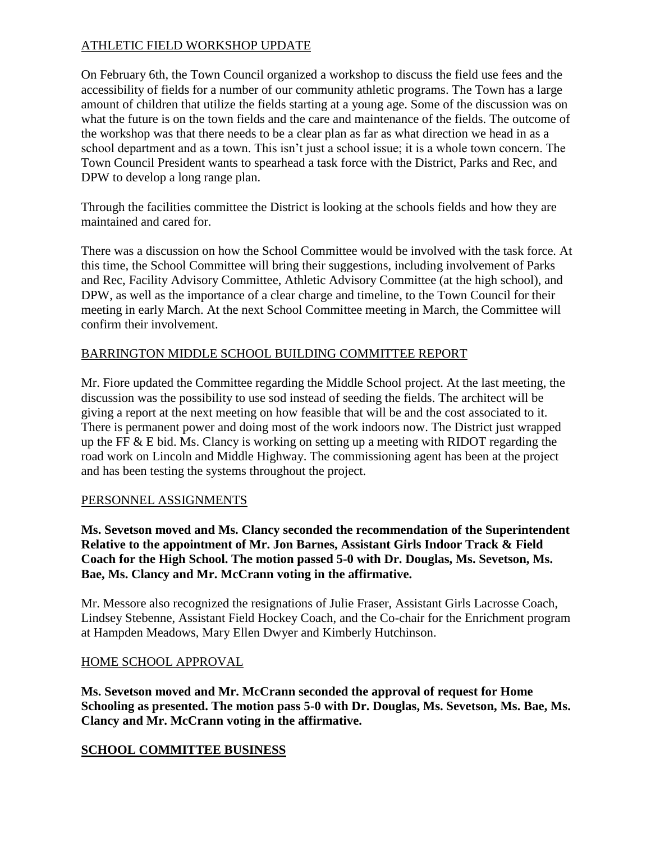# ATHLETIC FIELD WORKSHOP UPDATE

On February 6th, the Town Council organized a workshop to discuss the field use fees and the accessibility of fields for a number of our community athletic programs. The Town has a large amount of children that utilize the fields starting at a young age. Some of the discussion was on what the future is on the town fields and the care and maintenance of the fields. The outcome of the workshop was that there needs to be a clear plan as far as what direction we head in as a school department and as a town. This isn't just a school issue; it is a whole town concern. The Town Council President wants to spearhead a task force with the District, Parks and Rec, and DPW to develop a long range plan.

Through the facilities committee the District is looking at the schools fields and how they are maintained and cared for.

There was a discussion on how the School Committee would be involved with the task force. At this time, the School Committee will bring their suggestions, including involvement of Parks and Rec, Facility Advisory Committee, Athletic Advisory Committee (at the high school), and DPW, as well as the importance of a clear charge and timeline, to the Town Council for their meeting in early March. At the next School Committee meeting in March, the Committee will confirm their involvement.

# BARRINGTON MIDDLE SCHOOL BUILDING COMMITTEE REPORT

Mr. Fiore updated the Committee regarding the Middle School project. At the last meeting, the discussion was the possibility to use sod instead of seeding the fields. The architect will be giving a report at the next meeting on how feasible that will be and the cost associated to it. There is permanent power and doing most of the work indoors now. The District just wrapped up the FF  $&$  E bid. Ms. Clancy is working on setting up a meeting with RIDOT regarding the road work on Lincoln and Middle Highway. The commissioning agent has been at the project and has been testing the systems throughout the project.

# PERSONNEL ASSIGNMENTS

**Ms. Sevetson moved and Ms. Clancy seconded the recommendation of the Superintendent Relative to the appointment of Mr. Jon Barnes, Assistant Girls Indoor Track & Field Coach for the High School. The motion passed 5-0 with Dr. Douglas, Ms. Sevetson, Ms. Bae, Ms. Clancy and Mr. McCrann voting in the affirmative.**

Mr. Messore also recognized the resignations of Julie Fraser, Assistant Girls Lacrosse Coach, Lindsey Stebenne, Assistant Field Hockey Coach, and the Co-chair for the Enrichment program at Hampden Meadows, Mary Ellen Dwyer and Kimberly Hutchinson.

# HOME SCHOOL APPROVAL

**Ms. Sevetson moved and Mr. McCrann seconded the approval of request for Home Schooling as presented. The motion pass 5-0 with Dr. Douglas, Ms. Sevetson, Ms. Bae, Ms. Clancy and Mr. McCrann voting in the affirmative.**

# **SCHOOL COMMITTEE BUSINESS**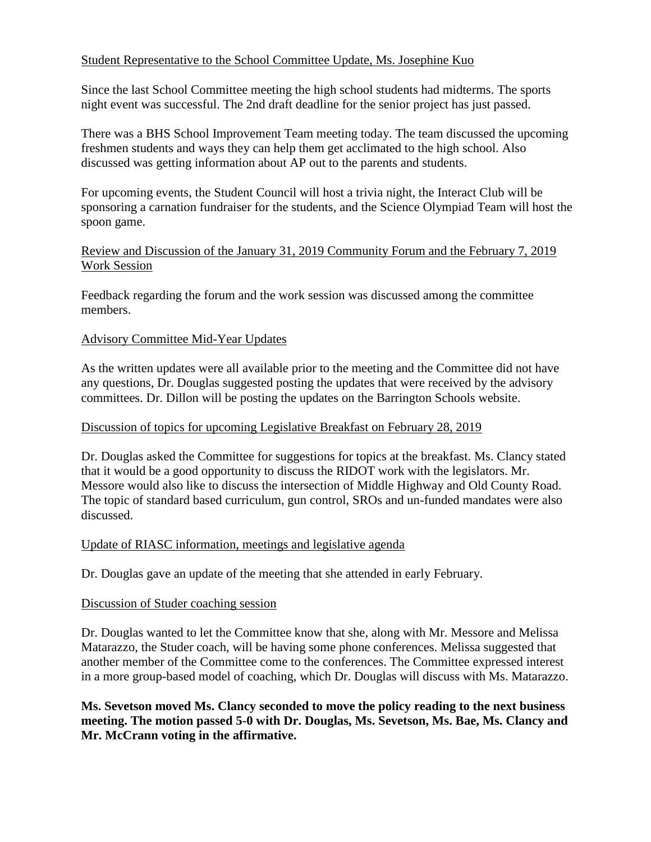## Student Representative to the School Committee Update, Ms. Josephine Kuo

Since the last School Committee meeting the high school students had midterms. The sports night event was successful. The 2nd draft deadline for the senior project has just passed.

There was a BHS School Improvement Team meeting today. The team discussed the upcoming freshmen students and ways they can help them get acclimated to the high school. Also discussed was getting information about AP out to the parents and students.

For upcoming events, the Student Council will host a trivia night, the Interact Club will be sponsoring a carnation fundraiser for the students, and the Science Olympiad Team will host the spoon game.

## Review and Discussion of the January 31, 2019 Community Forum and the February 7, 2019 Work Session

Feedback regarding the forum and the work session was discussed among the committee members.

## Advisory Committee Mid-Year Updates

As the written updates were all available prior to the meeting and the Committee did not have any questions, Dr. Douglas suggested posting the updates that were received by the advisory committees. Dr. Dillon will be posting the updates on the Barrington Schools website.

### Discussion of topics for upcoming Legislative Breakfast on February 28, 2019

Dr. Douglas asked the Committee for suggestions for topics at the breakfast. Ms. Clancy stated that it would be a good opportunity to discuss the RIDOT work with the legislators. Mr. Messore would also like to discuss the intersection of Middle Highway and Old County Road. The topic of standard based curriculum, gun control, SROs and un-funded mandates were also discussed.

### Update of RIASC information, meetings and legislative agenda

Dr. Douglas gave an update of the meeting that she attended in early February.

## Discussion of Studer coaching session

Dr. Douglas wanted to let the Committee know that she, along with Mr. Messore and Melissa Matarazzo, the Studer coach, will be having some phone conferences. Melissa suggested that another member of the Committee come to the conferences. The Committee expressed interest in a more group-based model of coaching, which Dr. Douglas will discuss with Ms. Matarazzo.

**Ms. Sevetson moved Ms. Clancy seconded to move the policy reading to the next business meeting. The motion passed 5-0 with Dr. Douglas, Ms. Sevetson, Ms. Bae, Ms. Clancy and Mr. McCrann voting in the affirmative.**